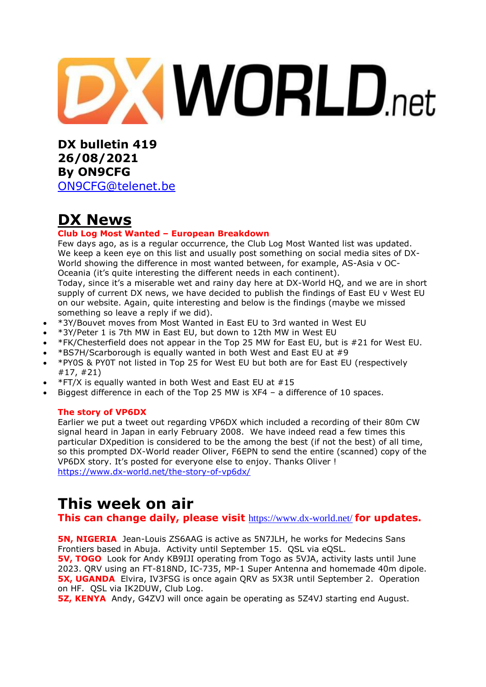# **XWORLD.net**

**DX bulletin 419 26/08/2021 By ON9CFG**  [ON9CFG@telenet.be](mailto:ON9CFG@telenet.be)

# **DX News**

## **Club Log Most Wanted – European Breakdown**

Few days ago, as is a regular occurrence, the Club Log Most [Wanted](https://clublog.org/mostwanted.php) list was updated. We keep a keen eye on this list and usually post something on social media sites of DX-World showing the difference in most wanted between, for example, AS-Asia v OC-Oceania (it's quite interesting the different needs in each continent).

Today, since it's a miserable wet and rainy day here at DX-World HQ, and we are in short supply of current DX news, we have decided to publish the findings of East EU v West EU on our website. Again, quite interesting and below is the findings (maybe we missed something so leave a reply if we did).

- \*3Y/Bouvet moves from Most Wanted in East EU to 3rd wanted in West EU
- \*3Y/Peter 1 is 7th MW in East EU, but down to 12th MW in West EU
- \*FK/Chesterfield does not appear in the Top 25 MW for East EU, but is #21 for West EU.
- \*BS7H/Scarborough is equally wanted in both West and East EU at #9
- \*PY0S & PY0T not listed in Top 25 for West EU but both are for East EU (respectively #17, #21)
- \*FT/X is equally wanted in both West and East EU at #15
- Biggest difference in each of the Top 25 MW is XF4 a difference of 10 spaces.

#### **The story of VP6DX**

Earlier we put a tweet out regarding VP6DX which included a recording of their 80m CW signal heard in Japan in early February 2008. We have indeed read a few times this particular DXpedition is considered to be the among the best (if not the best) of all time, so this prompted DX-World reader Oliver, F6EPN to send the entire (scanned) copy of the VP6DX story. It's posted for everyone else to enjoy. Thanks Oliver ! <https://www.dx-world.net/the-story-of-vp6dx/>

# **This week on air**

**This can change daily, please visit** <https://www.dx-world.net/> **for updates.**

**5N, NIGERIA** Jean-Louis ZS6AAG is active as 5N7JLH, he works for Medecins Sans Frontiers based in Abuja. Activity until September 15. QSL via eQSL.

**5V, TOGO** Look for Andy KB9IJI operating from Togo as 5VJA, activity lasts until June 2023. QRV using an FT-818ND, IC-735, MP-1 Super Antenna and homemade 40m dipole. **5X, UGANDA** Elvira, IV3FSG is once again ORV as 5X3R until September 2. Operation on HF. QSL via IK2DUW, Club Log.

**5Z, KENYA** Andy, G4ZVJ will once again be operating as 5Z4VJ starting end August.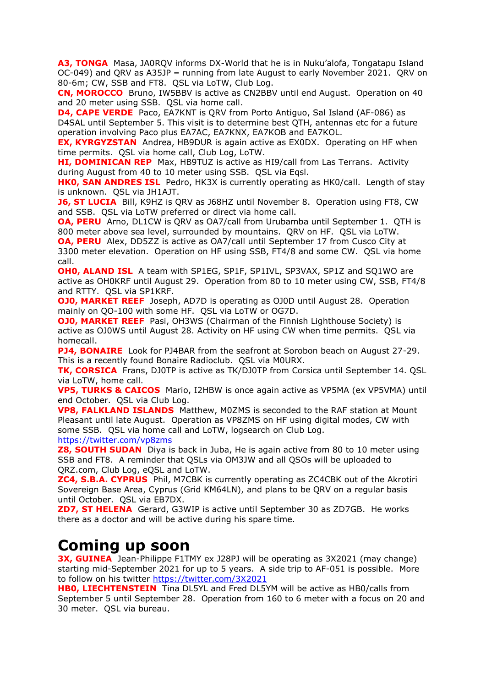**A3, TONGA** Masa, JA0RQV informs DX-World that he is in Nuku'alofa, Tongatapu Island OC-049) and QRV as A35JP **–** running from late August to early November 2021. QRV on 80-6m; CW, SSB and FT8. QSL via LoTW, Club Log.

**CN, MOROCCO** Bruno, IW5BBV is active as CN2BBV until end August. Operation on 40 and 20 meter using SSB. QSL via home call.

**D4, CAPE VERDE** Paco, EA7KNT is ORV from Porto Antiguo, Sal Island (AF-086) as D4SAL until September 5. This visit is to determine best QTH, antennas etc for a future operation involving Paco plus EA7AC, EA7KNX, EA7KOB and EA7KOL.

**EX, KYRGYZSTAN** Andrea, HB9DUR is again active as EX0DX. Operating on HF when time permits. QSL via home call, Club Log, LoTW.

**HI, DOMINICAN REP** Max, HB9TUZ is active as HI9/call from Las Terrans. Activity during August from 40 to 10 meter using SSB. QSL via Eqsl.

**HK0, SAN ANDRES ISL** Pedro, HK3X is currently operating as HK0/call. Length of stay is unknown. QSL via JH1AJT.

**J6, ST LUCIA** Bill, K9HZ is QRV as J68HZ until November 8. Operation using FT8, CW and SSB. QSL via LoTW preferred or direct via home call.

**OA, PERU** Arno, DL1CW is ORV as OA7/call from Urubamba until September 1. OTH is 800 meter above sea level, surrounded by mountains. QRV on HF. QSL via LoTW.

**OA, PERU** Alex, DD5ZZ is active as OA7/call until September 17 from Cusco City at 3300 meter elevation. Operation on HF using SSB, FT4/8 and some CW. QSL via home call.

**OH0, ALAND ISL** A team with SP1EG, SP1F, SP1IVL, SP3VAX, SP1Z and SQ1WO are active as OH0KRF until August 29. Operation from 80 to 10 meter using CW, SSB, FT4/8 and RTTY. QSL via SP1KRF.

**OJ0, MARKET REEF** Joseph, AD7D is operating as OJ0D until August 28. Operation mainly on QO-100 with some HF. QSL via LoTW or OG7D.

**OJ0, MARKET REEF** Pasi, OH3WS (Chairman of the Finnish Lighthouse Society) is active as OJ0WS until August 28. Activity on HF using CW when time permits. QSL via homecall.

**PJ4, BONAIRE** Look for PJ4BAR from the seafront at Sorobon beach on August 27-29. This is a recently found Bonaire Radioclub. QSL via M0URX.

**TK, CORSICA** Frans, DJ0TP is active as TK/DJ0TP from Corsica until September 14. QSL via LoTW, home call.

**VP5, TURKS & CAICOS** Mario, I2HBW is once again active as VP5MA (ex VP5VMA) until end October. QSL via Club Log.

**VP8, FALKLAND ISLANDS** Matthew, M0ZMS is seconded to the RAF station at Mount Pleasant until late August. Operation as VP8ZMS on HF using digital modes, CW with some SSB. QSL via home call and LoTW, logsearch on Club Log. <https://twitter.com/vp8zms>

**Z8, SOUTH SUDAN** Diya is back in Juba, He is again active from 80 to 10 meter using SSB and FT8. A reminder that QSLs via OM3JW and all QSOs will be uploaded to QRZ.com, Club Log, eQSL and LoTW.

**ZC4, S.B.A. CYPRUS** Phil, M7CBK is currently operating as ZC4CBK out of the Akrotiri Sovereign Base Area, Cyprus (Grid KM64LN), and plans to be QRV on a regular basis until October. QSL via EB7DX.

**ZD7, ST HELENA** Gerard, G3WIP is active until September 30 as ZD7GB. He works there as a doctor and will be active during his spare time.

# **Coming up soon**

**3X, GUINEA** Jean-Philippe F1TMY ex J28PJ will be operating as 3X2021 (may change) starting mid-September 2021 for up to 5 years. A side trip to AF-051 is possible. More to follow on his twitter<https://twitter.com/3X2021>

**HB0, LIECHTENSTEIN** Tina DL5YL and Fred DL5YM will be active as HB0/calls from September 5 until September 28. Operation from 160 to 6 meter with a focus on 20 and 30 meter. QSL via bureau.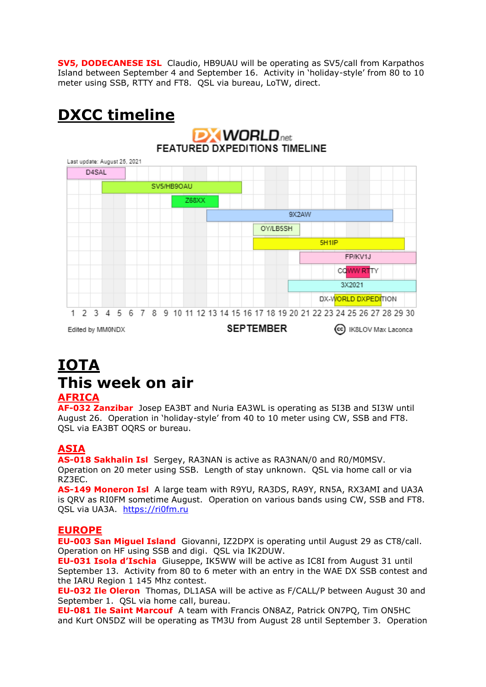**SV5, DODECANESE ISL** Claudio, HB9UAU will be operating as SV5/call from Karpathos Island between September 4 and September 16. Activity in 'holiday-style' from 80 to 10 meter using SSB, RTTY and FT8. QSL via bureau, LoTW, direct.

# **DXCC timeline**

## **DXWORLD**<sub>net</sub> **FEATURED DXPEDITIONS TIMELINE** Last update: August 25, 2021 D4SAL SV5/HB9OAU **Z68XX QY2AW** OY/LB5SH 5H<sub>1</sub>IP FP/KV1J CQWW RTTY 3X2021 DX-WORLD DXPEDITION 1 2 3 4 5 6 7 8 9 10 11 12 13 14 15 16 17 18 19 20 21 22 23 24 25 26 27 28 29 30 SEPTEMBER Edited by MM0NDX (cc) IK8LOV Max Laconca

# **IOTA This week on air**

## **AFRICA**

**AF-032 Zanzibar** Josep EA3BT and Nuria EA3WL is operating as 5I3B and 5I3W until August 26. Operation in 'holiday-style' from 40 to 10 meter using CW, SSB and FT8. QSL via EA3BT OQRS or bureau.

## **ASIA**

**AS-018 Sakhalin Isl** Sergey, RA3NAN is active as RA3NAN/0 and R0/M0MSV.

Operation on 20 meter using SSB. Length of stay unknown. QSL via home call or via RZ3EC.

**AS-149 Moneron Isl** A large team with R9YU, RA3DS, RA9Y, RN5A, RX3AMI and UA3A is QRV as RI0FM sometime August. Operation on various bands using CW, SSB and FT8. QSL via UA3A. [https://ri0fm.ru](https://ri0fm.ru/)

## **EUROPE**

**EU-003 San Miguel Island** Giovanni, IZ2DPX is operating until August 29 as CT8/call. Operation on HF using SSB and digi. QSL via IK2DUW.

**EU-031 Isola d'Ischia** Giuseppe, IK5WW will be active as IC8I from August 31 until September 13. Activity from 80 to 6 meter with an entry in the WAE DX SSB contest and the IARU Region 1 145 Mhz contest.

**EU-032 Ile Oleron** Thomas, DL1ASA will be active as F/CALL/P between August 30 and September 1. QSL via home call, bureau.

**EU-081 Ile Saint Marcouf** A team with Francis ON8AZ, Patrick ON7PQ, Tim ON5HC and Kurt ON5DZ will be operating as TM3U from August 28 until September 3. Operation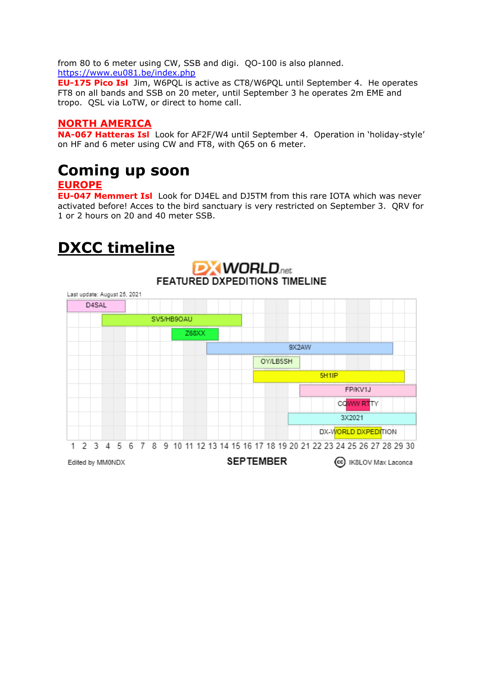from 80 to 6 meter using CW, SSB and digi. QO-100 is also planned. <https://www.eu081.be/index.php>

**EU-175 Pico Isl** Jim, W6PQL is active as CT8/W6PQL until September 4. He operates FT8 on all bands and SSB on 20 meter, until September 3 he operates 2m EME and tropo. QSL via LoTW, or direct to home call.

## **NORTH AMERICA**

**NA-067 Hatteras Isl** Look for AF2F/W4 until September 4. Operation in 'holiday-style' on HF and 6 meter using CW and FT8, with Q65 on 6 meter.

# **Coming up soon**

## **EUROPE**

**EU-047 Memmert Isl** Look for DJ4EL and DJ5TM from this rare IOTA which was never activated before! Acces to the bird sanctuary is very restricted on September 3. QRV for 1 or 2 hours on 20 and 40 meter SSB.

# **DXCC timeline**

## **DX WORLD**.net **FEATURED DXPEDITIONS TIMELINE**

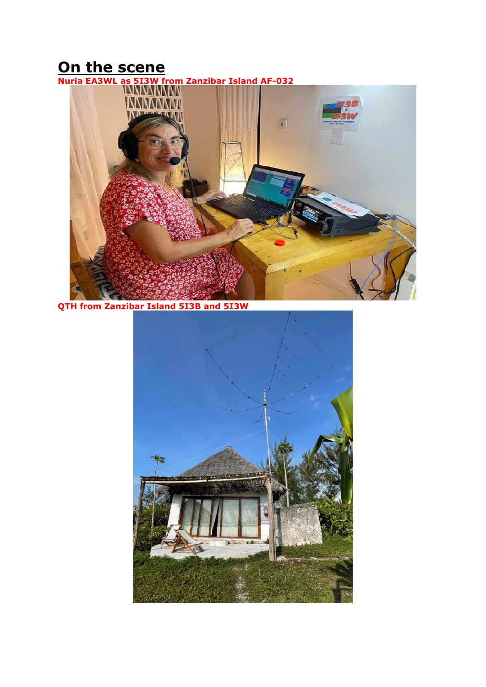# **On the scene**

**Nuria EA3WL as 5I3W from Zanzibar Island AF-032**



**QTH from Zanzibar Island 5I3B and 5I3W**

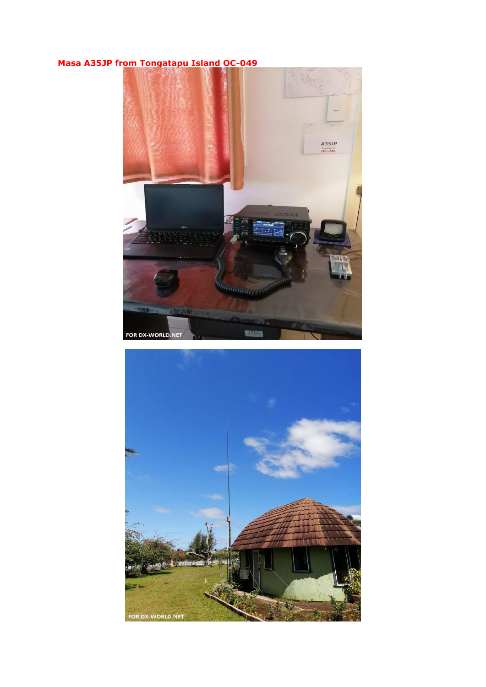# **Masa A35JP from Tongatapu Island OC-049**



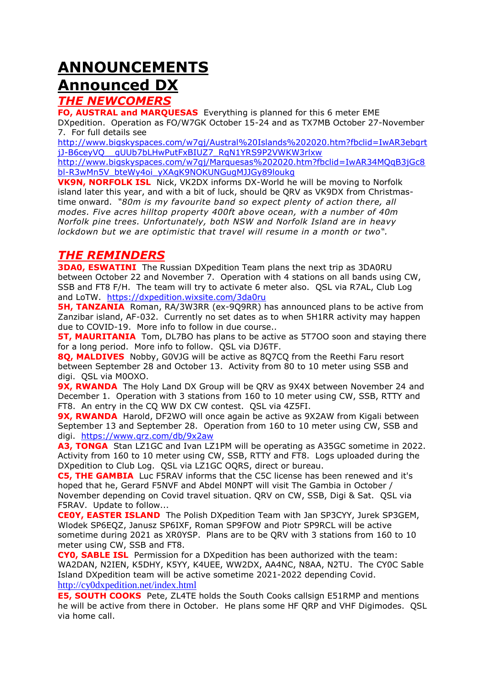# **ANNOUNCEMENTS Announced DX**

# *THE NEWCOMERS*

**FO, AUSTRAL and MARQUESAS** Everything is planned for this 6 meter EME DXpedition. Operation as FO/W7GK October 15-24 and as TX7MB October 27-November 7. For full details see

[http://www.bigskyspaces.com/w7gj/Austral%20Islands%202020.htm?fbclid=IwAR3ebgrt](http://www.bigskyspaces.com/w7gj/Austral%20Islands%202020.htm?fbclid=IwAR3ebgrtjJ-B6ceyVQ__gUUb7bLHwPutFxBIUZ7_RqN1YRS9P2VWKW3rlxw) [jJ-B6ceyVQ\\_\\_gUUb7bLHwPutFxBIUZ7\\_RqN1YRS9P2VWKW3rlxw](http://www.bigskyspaces.com/w7gj/Austral%20Islands%202020.htm?fbclid=IwAR3ebgrtjJ-B6ceyVQ__gUUb7bLHwPutFxBIUZ7_RqN1YRS9P2VWKW3rlxw)

[http://www.bigskyspaces.com/w7gj/Marquesas%202020.htm?fbclid=IwAR34MQqB3jGc8](http://www.bigskyspaces.com/w7gj/Marquesas%202020.htm?fbclid=IwAR34MQqB3jGc8bl-R3wMn5V_bteWy4oi_yXAgK9NOKUNGugMJJGy89loukg) [bl-R3wMn5V\\_bteWy4oi\\_yXAgK9NOKUNGugMJJGy89loukg](http://www.bigskyspaces.com/w7gj/Marquesas%202020.htm?fbclid=IwAR34MQqB3jGc8bl-R3wMn5V_bteWy4oi_yXAgK9NOKUNGugMJJGy89loukg)

**VK9N, NORFOLK ISL** Nick, VK2DX informs DX-World he will be moving to Norfolk island later this year, and with a bit of luck, should be QRV as VK9DX from Christmastime onward. *"80m is my favourite band so expect plenty of action there, all modes. Five acres hilltop property 400ft above ocean, with a number of 40m Norfolk pine trees. Unfortunately, both NSW and Norfolk Island are in heavy lockdown but we are optimistic that travel will resume in a month or two".*

## *THE REMINDERS*

**3DA0, ESWATINI** The Russian DXpedition Team plans the next trip as 3DA0RU between October 22 and November 7. Operation with 4 stations on all bands using CW, SSB and FT8 F/H. The team will try to activate 6 meter also. QSL via R7AL, Club Log and LoTW. <https://dxpedition.wixsite.com/3da0ru>

**5H, TANZANIA** Roman, RA/3W3RR (ex-909RR) has announced plans to be active from Zanzibar island, AF-032. Currently no set dates as to when 5H1RR activity may happen due to COVID-19. More info to follow in due course..

**5T, MAURITANIA** Tom, DL7BO has plans to be active as 5T700 soon and staving there for a long period. More info to follow. QSL via DJ6TF.

**8Q, MALDIVES** Nobby, G0VJG will be active as 8Q7CQ from the Reethi Faru resort between September 28 and October 13. Activity from 80 to 10 meter using SSB and digi. QSL via M0OXO.

**9X, RWANDA** The Holy Land DX Group will be QRV as 9X4X between November 24 and December 1. Operation with 3 stations from 160 to 10 meter using CW, SSB, RTTY and FT8. An entry in the CQ WW DX CW contest. QSL via 4Z5FI.

**9X, RWANDA** Harold, DF2WO will once again be active as 9X2AW from Kigali between September 13 and September 28. Operation from 160 to 10 meter using CW, SSB and digi. <https://www.qrz.com/db/9x2aw>

A3, TONGA Stan LZ1GC and Ivan LZ1PM will be operating as A35GC sometime in 2022. Activity from 160 to 10 meter using CW, SSB, RTTY and FT8. Logs uploaded during the DXpedition to Club Log. QSL via LZ1GC OQRS, direct or bureau.

**C5, THE GAMBIA** Luc F5RAV informs that the C5C license has been renewed and it's hoped that he, Gerard F5NVF and Abdel M0NPT will visit The Gambia in October / November depending on Covid travel situation. QRV on CW, SSB, Digi & Sat. QSL via F5RAV. Update to follow...

**CE0Y, EASTER ISLAND** The Polish DXpedition Team with Jan SP3CYY, Jurek SP3GEM, Wlodek SP6EQZ, Janusz SP6IXF, Roman SP9FOW and Piotr SP9RCL will be active sometime during 2021 as XR0YSP. Plans are to be QRV with 3 stations from 160 to 10 meter using CW, SSB and FT8.

**CY0, SABLE ISL** Permission for a DXpedition has been authorized with the team: WA2DAN, N2IEN, K5DHY, K5YY, K4UEE, WW2DX, AA4NC, N8AA, N2TU. The CY0C Sable Island DXpedition team will be active sometime 2021-2022 depending Covid. <http://cy0dxpedition.net/index.html>

**E5, SOUTH COOKS** Pete, ZL4TE holds the South Cooks callsign E51RMP and mentions he will be active from there in October. He plans some HF QRP and VHF Digimodes. QSL via home call.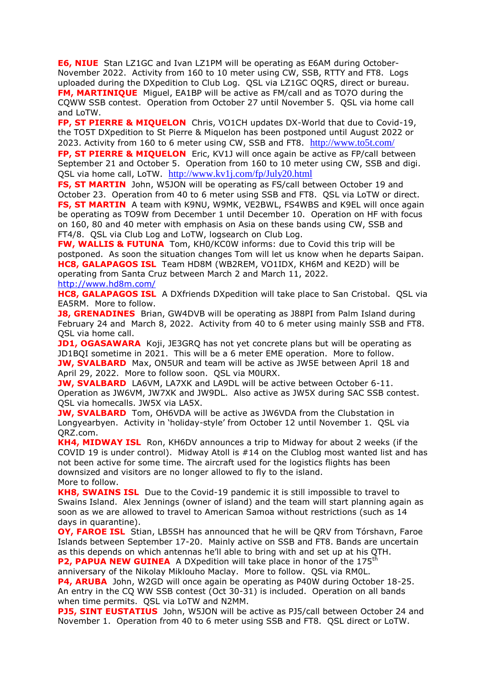**E6, NIUE** Stan LZ1GC and Ivan LZ1PM will be operating as E6AM during October-November 2022. Activity from 160 to 10 meter using CW, SSB, RTTY and FT8. Logs uploaded during the DXpedition to Club Log. QSL via LZ1GC OQRS, direct or bureau. **FM, MARTINIQUE** Miguel, EA1BP will be active as FM/call and as TO7O during the CQWW SSB contest. Operation from October 27 until November 5. QSL via home call and LoTW.

**FP, ST PIERRE & MIQUELON** Chris, VO1CH updates DX-World that due to Covid-19, the TO5T DXpedition to St Pierre & Miquelon has been postponed until August 2022 or 2023. Activity from 160 to 6 meter using CW, SSB and FT8. <http://www.to5t.com/>

**FP, ST PIERRE & MIQUELON** Eric, KV1J will once again be active as FP/call between September 21 and October 5. Operation from 160 to 10 meter using CW, SSB and digi. QSL via home call, LoTW. <http://www.kv1j.com/fp/July20.html>

**FS, ST MARTIN** John, W5JON will be operating as FS/call between October 19 and October 23. Operation from 40 to 6 meter using SSB and FT8. QSL via LoTW or direct. **FS, ST MARTIN** A team with K9NU, W9MK, VE2BWL, FS4WBS and K9EL will once again be operating as TO9W from December 1 until December 10. Operation on HF with focus on 160, 80 and 40 meter with emphasis on Asia on these bands using CW, SSB and FT4/8. QSL via Club Log and LoTW, logsearch on Club Log.

**FW, WALLIS & FUTUNA** Tom, KH0/KC0W informs: due to Covid this trip will be postponed. As soon the situation changes Tom will let us know when he departs Saipan. **HC8, GALAPAGOS ISL** Team HD8M (WB2REM, VO1IDX, KH6M and KE2D) will be operating from Santa Cruz between March 2 and March 11, 2022. <http://www.hd8m.com/>

**HC8, GALAPAGOS ISL** A DXfriends DXpedition will take place to San Cristobal. QSL via EA5RM. More to follow.

**J8, GRENADINES** Brian, GW4DVB will be operating as J88PI from Palm Island during February 24 and March 8, 2022. Activity from 40 to 6 meter using mainly SSB and FT8. QSL via home call.

**JD1, OGASAWARA** Koji, JE3GRQ has not yet concrete plans but will be operating as JD1BQI sometime in 2021. This will be a 6 meter EME operation. More to follow. **JW, SVALBARD** Max, ON5UR and team will be active as JW5E between April 18 and April 29, 2022. More to follow soon. QSL via M0URX.

**JW, SVALBARD** LA6VM, LA7XK and LA9DL will be active between October 6-11. Operation as JW6VM, JW7XK and JW9DL. Also active as JW5X during SAC SSB contest. QSL via homecalls. JW5X via LA5X.

**JW, SVALBARD** Tom, OH6VDA will be active as JW6VDA from the Clubstation in Longyearbyen. Activity in 'holiday-style' from October 12 until November 1. QSL via QRZ.com.

**KH4, MIDWAY ISL** Ron, KH6DV announces a trip to Midway for about 2 weeks (if the COVID 19 is under control). Midway Atoll is #14 on the Clublog most wanted list and has not been active for some time. The aircraft used for the logistics flights has been downsized and visitors are no longer allowed to fly to the island. More to follow.

**KH8, SWAINS ISL** Due to the Covid-19 pandemic it is still impossible to travel to Swains Island. Alex Jennings (owner of island) and the team will start planning again as soon as we are allowed to travel to American Samoa without restrictions (such as 14 days in quarantine).

**OY, FAROE ISL** Stian, LB5SH has announced that he will be QRV from Tórshavn, Faroe Islands between September 17-20. Mainly active on SSB and FT8. Bands are uncertain as this depends on which antennas he'll able to bring with and set up at his QTH.

**P2, PAPUA NEW GUINEA** A DXpedition will take place in honor of the 175<sup>th</sup> anniversary of the Nikolay Miklouho Maclay. More to follow. QSL via RM0L.

**P4, ARUBA** John, W2GD will once again be operating as P40W during October 18-25. An entry in the CQ WW SSB contest (Oct 30-31) is included. Operation on all bands when time permits. QSL via LoTW and N2MM.

**PJ5, SINT EUSTATIUS** John, W5JON will be active as PJ5/call between October 24 and November 1. Operation from 40 to 6 meter using SSB and FT8. QSL direct or LoTW.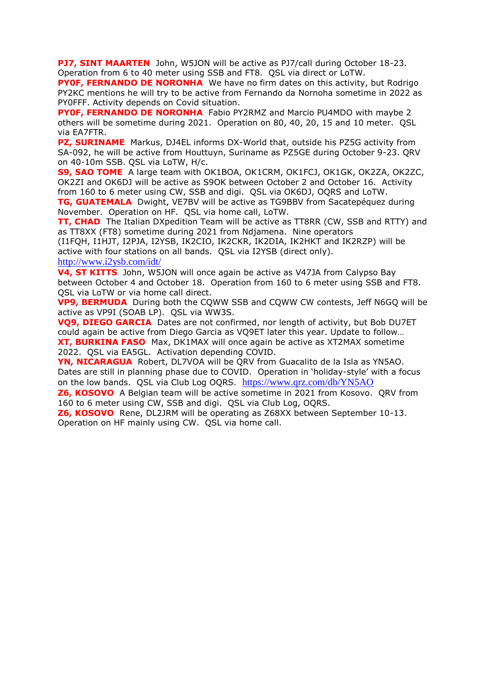**PJ7, SINT MAARTEN** John, W5JON will be active as PJ7/call during October 18-23. Operation from 6 to 40 meter using SSB and FT8. QSL via direct or LoTW.

**PY0F, FERNANDO DE NORONHA** We have no firm dates on this activity, but Rodrigo PY2KC mentions he will try to be active from Fernando da Nornoha sometime in 2022 as PY0FFF. Activity depends on Covid situation.

**PY0F, FERNANDO DE NORONHA** Fabio PY2RMZ and Marcio PU4MDO with maybe 2 others will be sometime during 2021. Operation on 80, 40, 20, 15 and 10 meter. QSL via EA7FTR.

**PZ, SURINAME** Markus, DJ4EL informs DX-World that, outside his PZ5G activity from SA-092, he will be active from Houttuyn, Suriname as PZ5GE during October 9-23. QRV on 40-10m SSB. QSL via LoTW, H/c.

**S9, SAO TOME** A large team with OK1BOA, OK1CRM, OK1FCJ, OK1GK, OK2ZA, OK2ZC, OK2ZI and OK6DJ will be active as S9OK between October 2 and October 16. Activity from 160 to 6 meter using CW, SSB and digi. QSL via OK6DJ, OQRS and LoTW.

**TG, GUATEMALA** Dwight, VE7BV will be active as TG9BBV from Sacatepéquez during November. Operation on HF. QSL via home call, LoTW.

**TT, CHAD** The Italian DXpedition Team will be active as TT8RR (CW, SSB and RTTY) and as TT8XX (FT8) sometime during 2021 from Ndjamena. Nine operators

(I1FQH, I1HJT, I2PJA, I2YSB, IK2CIO, IK2CKR, IK2DIA, IK2HKT and IK2RZP) will be active with four stations on all bands. QSL via I2YSB (direct only). <http://www.i2ysb.com/idt/>

**V4, ST KITTS** John, W5JON will once again be active as V47JA from Calypso Bay between October 4 and October 18. Operation from 160 to 6 meter using SSB and FT8. QSL via LoTW or via home call direct.

**VP9, BERMUDA** During both the CQWW SSB and CQWW CW contests, Jeff N6GQ will be active as VP9I (SOAB LP). QSL via WW3S.

**VQ9, DIEGO GARCIA** Dates are not confirmed, nor length of activity, but Bob DU7ET could again be active from Diego Garcia as VQ9ET later this year. Update to follow… **XT, BURKINA FASO** Max, DK1MAX will once again be active as XT2MAX sometime 2022. QSL via EA5GL. Activation depending COVID.

**YN, NICARAGUA** Robert, DL7VOA will be QRV from Guacalito de la Isla as YN5AO. Dates are still in planning phase due to COVID. Operation in 'holiday-style' with a focus on the low bands. QSL via Club Log OQRS. <https://www.qrz.com/db/YN5AO>

**Z6, KOSOVO** A Belgian team will be active sometime in 2021 from Kosovo. QRV from 160 to 6 meter using CW, SSB and digi. QSL via Club Log, OQRS.

**Z6, KOSOVO** Rene, DL2JRM will be operating as Z68XX between September 10-13. Operation on HF mainly using CW. QSL via home call.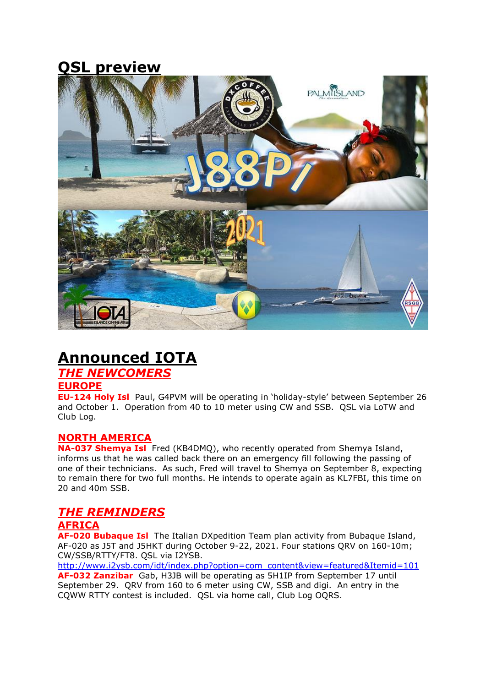# **QSL preview**



# **Announced IOTA**

## *THE NEWCOMERS*

#### **EUROPE**

**EU-124 Holy Isl** Paul, G4PVM will be operating in 'holiday-style' between September 26 and October 1. Operation from 40 to 10 meter using CW and SSB. QSL via LoTW and Club Log.

#### **NORTH AMERICA**

**NA-037 Shemya Isl** Fred (KB4DMQ), who recently operated from Shemya Island, informs us that he was called back there on an emergency fill following the passing of one of their technicians. As such, Fred will travel to Shemya on September 8, expecting to remain there for two full months. He intends to operate again as KL7FBI, this time on 20 and 40m SSB.

# *THE REMINDERS*

## **AFRICA**

**AF-020 Bubaque Isl** The Italian DXpedition Team plan activity from Bubaque Island, AF-020 as J5T and J5HKT during October 9-22, 2021. Four stations QRV on 160-10m; CW/SSB/RTTY/FT8. QSL via I2YSB.

[http://www.i2ysb.com/idt/index.php?option=com\\_content&view=featured&Itemid=101](http://www.i2ysb.com/idt/index.php?option=com_content&view=featured&Itemid=101) **AF-032 Zanzibar** Gab, H3JB will be operating as 5H1IP from September 17 until September 29. QRV from 160 to 6 meter using CW, SSB and digi. An entry in the CQWW RTTY contest is included. QSL via home call, Club Log OQRS.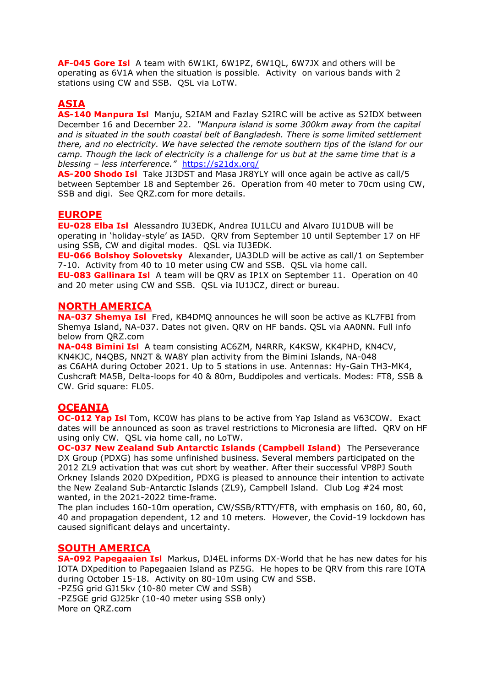**AF-045 Gore Isl** A team with 6W1KI, 6W1PZ, 6W1QL, 6W7JX and others will be operating as 6V1A when the situation is possible. Activity on various bands with 2 stations using CW and SSB. QSL via LoTW.

## **ASIA**

**AS-140 Manpura Isl** Manju, S2IAM and Fazlay S2IRC will be active as S2IDX between December 16 and December 22. *"Manpura island is some 300km away from the capital and is situated in the south coastal belt of Bangladesh. There is some limited settlement there, and no electricity. We have selected the remote southern tips of the island for our camp. Though the lack of electricity is a challenge for us but at the same time that is a blessing – less interference."* <https://s21dx.org/>

**AS-200 Shodo Isl** Take JI3DST and Masa JR8YLY will once again be active as call/5 between September 18 and September 26. Operation from 40 meter to 70cm using CW, SSB and digi. See QRZ.com for more details.

## **EUROPE**

**EU-028 Elba Isl** Alessandro IU3EDK, Andrea IU1LCU and Alvaro IU1DUB will be operating in 'holiday-style' as IA5D. QRV from September 10 until September 17 on HF using SSB, CW and digital modes. QSL via IU3EDK.

**EU-066 Bolshoy Solovetsky** Alexander, UA3DLD will be active as call/1 on September 7-10. Activity from 40 to 10 meter using CW and SSB. QSL via home call.

**EU-083 Gallinara Isl** A team will be QRV as IP1X on September 11. Operation on 40 and 20 meter using CW and SSB. QSL via IU1JCZ, direct or bureau.

#### **NORTH AMERICA**

**NA-037 Shemya Isl** Fred, KB4DMQ announces he will soon be active as KL7FBI from Shemya Island, NA-037. Dates not given. QRV on HF bands. QSL via AA0NN. Full info below from QRZ.com

**NA-048 Bimini Isl** A team consisting AC6ZM, N4RRR, K4KSW, KK4PHD, KN4CV, KN4KJC, N4QBS, NN2T & WA8Y plan activity from the Bimini Islands, NA-048 as C6AHA during October 2021. Up to 5 stations in use. Antennas: Hy-Gain TH3-MK4, Cushcraft MA5B, Delta-loops for 40 & 80m, Buddipoles and verticals. Modes: FT8, SSB & CW. Grid square: FL05.

## **OCEANIA**

**OC-012 Yap Isl** Tom, KC0W has plans to be active from Yap Island as V63COW. Exact dates will be announced as soon as travel restrictions to Micronesia are lifted. QRV on HF using only CW. QSL via home call, no LoTW.

**OC-037 New Zealand Sub Antarctic Islands (Campbell Island)** The Perseverance DX Group (PDXG) has some unfinished business. Several members participated on the 2012 ZL9 activation that was cut short by weather. After their successful VP8PJ South Orkney Islands 2020 DXpedition, PDXG is pleased to announce their intention to activate the New Zealand Sub-Antarctic Islands (ZL9), Campbell Island. Club Log #24 most wanted, in the 2021-2022 time-frame.

The plan includes 160-10m operation, CW/SSB/RTTY/FT8, with emphasis on 160, 80, 60, 40 and propagation dependent, 12 and 10 meters. However, the Covid-19 lockdown has caused significant delays and uncertainty.

#### **SOUTH AMERICA**

**SA-092 Papegaaien Isl** Markus, DJ4EL informs DX-World that he has new dates for his IOTA DXpedition to Papegaaien Island as PZ5G. He hopes to be QRV from this rare IOTA during October 15-18. Activity on 80-10m using CW and SSB. -PZ5G grid GJ15kv (10-80 meter CW and SSB) -PZ5GE grid GJ25kr (10-40 meter using SSB only) More on QRZ.com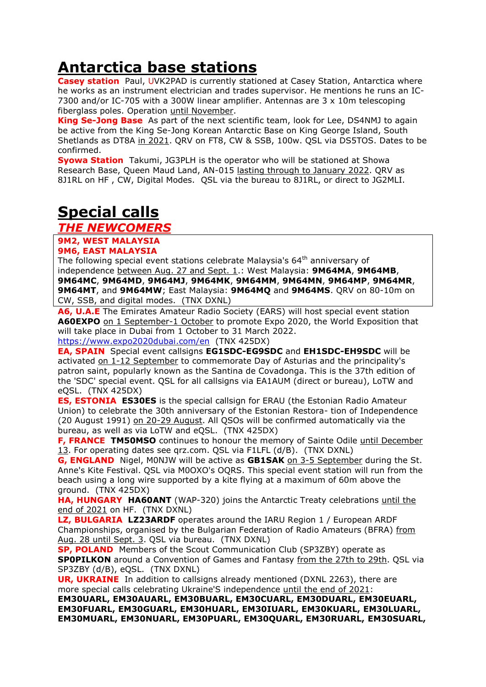# **Antarctica base stations**

**Casey station** Paul, UVK2PAD is currently stationed at Casey [Station,](https://www.antarctica.gov.au/antarctic-operations/webcams/casey/) Antarctica where he works as an instrument electrician and trades supervisor. He mentions he runs an IC-7300 and/or IC-705 with a 300W linear amplifier. Antennas are 3 x 10m telescoping fiberglass poles. Operation until November.

**King Se-Jong Base** As part of the next scientific team, look for Lee, DS4NMJ to again be active from the King Se-Jong Korean Antarctic Base on King George Island, South Shetlands as DT8A in 2021. QRV on FT8, CW & SSB, 100w. QSL via DS5TOS. Dates to be confirmed.

**Syowa Station** Takumi, JG3PLH is the operator who will be stationed at Showa Research Base, Queen Maud Land, AN-015 lasting through to January 2022. QRV as 8J1RL on HF , CW, Digital Modes. QSL via the bureau to 8J1RL, or direct to JG2MLI.

# **Special calls**

*THE NEWCOMERS*

#### **9M2, WEST MALAYSIA**

#### **9M6, EAST MALAYSIA**

The following special event stations celebrate Malaysia's  $64<sup>th</sup>$  anniversary of independence between Aug. 27 and Sept. 1.: West Malaysia: **9M64MA**, **9M64MB**, **9M64MC**, **9M64MD**, **9M64MJ**, **9M64MK**, **9M64MM**, **9M64MN**, **9M64MP**, **9M64MR**, **9M64MT**, and **9M64MW**; East Malaysia: **9M64MQ** and **9M64MS**. QRV on 80-10m on CW, SSB, and digital modes. (TNX DXNL)

**A6, U.A.E** The Emirates Amateur Radio Society (EARS) will host special event station **A60EXPO** on 1 September-1 October to promote Expo 2020, the World Exposition that will take place in Dubai from 1 October to 31 March 2022.

<https://www.expo2020dubai.com/en>(TNX 425DX)

**EA, SPAIN** Special event callsigns **EG1SDC-EG9SDC** and **EH1SDC-EH9SDC** will be activated on 1-12 September to commemorate Day of Asturias and the principality's patron saint, popularly known as the Santina de Covadonga. This is the 37th edition of the 'SDC' special event. QSL for all callsigns via EA1AUM (direct or bureau), LoTW and eQSL. (TNX 425DX)

**ES, ESTONIA ES30ES** is the special callsign for ERAU (the Estonian Radio Amateur Union) to celebrate the 30th anniversary of the Estonian Restora- tion of Independence (20 August 1991) on 20-29 August. All QSOs will be confirmed automatically via the bureau, as well as via LoTW and eQSL. (TNX 425DX)

**F, FRANCE TM50MSO** continues to honour the memory of Sainte Odile until December 13. For operating dates see qrz.com. QSL via F1LFL (d/B). (TNX DXNL)

**G, ENGLAND** Nigel, M0NJW will be active as **GB1SAK** on 3-5 September during the St. Anne's Kite Festival. QSL via M0OXO's OQRS. This special event station will run from the beach using a long wire supported by a kite flying at a maximum of 60m above the ground. (TNX 425DX)

**HA, HUNGARY HA60ANT** (WAP-320) joins the Antarctic Treaty celebrations until the end of 2021 on HF. (TNX DXNL)

**LZ, BULGARIA LZ23ARDF** operates around the IARU Region 1 / European ARDF Championships, organised by the Bulgarian Federation of Radio Amateurs (BFRA) from Aug. 28 until Sept. 3. QSL via bureau. (TNX DXNL)

**SP, POLAND** Members of the Scout Communication Club (SP3ZBY) operate as **SP0PILKON** around a Convention of Games and Fantasy from the 27th to 29th. QSL via SP3ZBY (d/B), eQSL. (TNX DXNL)

**UR, UKRAINE** In addition to callsigns already mentioned (DXNL 2263), there are more special calls celebrating Ukraine'S independence until the end of 2021:

**EM30UARL, EM30AUARL, EM30BUARL, EM30CUARL, EM30DUARL, EM30EUARL, EM30FUARL, EM30GUARL, EM30HUARL, EM30IUARL, EM30KUARL, EM30LUARL, EM30MUARL, EM30NUARL, EM30PUARL, EM30QUARL, EM30RUARL, EM30SUARL,**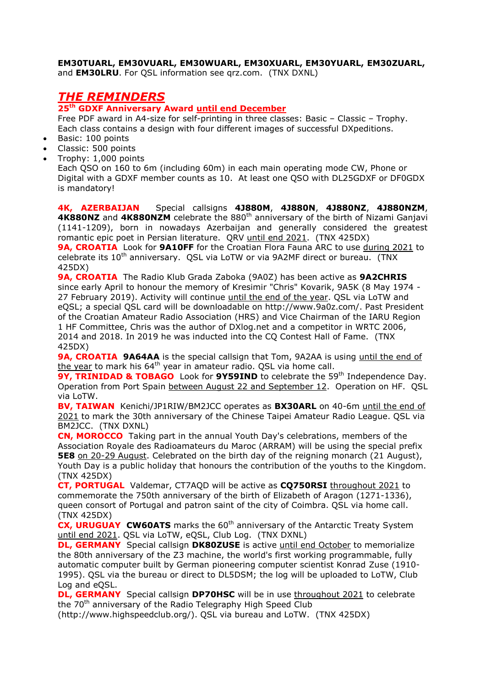#### **EM30TUARL, EM30VUARL, EM30WUARL, EM30XUARL, EM30YUARL, EM30ZUARL,**  and **EM30LRU**. For QSL information see qrz.com. (TNX DXNL)

# *THE REMINDERS*

**25th GDXF Anniversary Award until end December**

Free PDF award in A4-size for self-printing in three classes: Basic – Classic – Trophy. Each class contains a design with four different images of successful DXpeditions.

- Basic: 100 points
- Classic: 500 points
- Trophy: 1,000 points

Each QSO on 160 to 6m (including 60m) in each main operating mode CW, Phone or Digital with a GDXF member counts as 10. At least one QSO with DL25GDXF or DF0GDX is mandatory!

**4K, AZERBAIJAN** Special callsigns **4J880M**, **4J880N**, **4J880NZ**, **4J880NZM**, **4K880NZ** and **4K880NZM** celebrate the 880<sup>th</sup> anniversary of the birth of Nizami Ganjavi (1141-1209), born in nowadays Azerbaijan and generally considered the greatest romantic epic poet in Persian literature. QRV until end 2021. (TNX 425DX) **9A, CROATIA** Look for **9A10FF** for the Croatian Flora Fauna ARC to use during 2021 to

celebrate its  $10^{th}$  anniversary. QSL via LoTW or via 9A2MF direct or bureau. (TNX 425DX)

**9A, CROATIA** The Radio Klub Grada Zaboka (9A0Z) has been active as **9A2CHRIS** since early April to honour the memory of Kresimir "Chris" Kovarik, 9A5K (8 May 1974 - 27 February 2019). Activity will continue until the end of the year. QSL via LoTW and eQSL; a special QSL card will be downloadable on http://www.9a0z.com/. Past President of the Croatian Amateur Radio Association (HRS) and Vice Chairman of the IARU Region 1 HF Committee, Chris was the author of DXlog.net and a competitor in WRTC 2006, 2014 and 2018. In 2019 he was inducted into the CQ Contest Hall of Fame. (TNX 425DX)

**9A, CROATIA 9A64AA** is the special callsign that Tom, 9A2AA is using until the end of the year to mark his  $64<sup>th</sup>$  year in amateur radio. QSL via home call.

9Y, TRINIDAD & TOBAGO Look for 9Y59IND to celebrate the 59<sup>th</sup> Independence Day. Operation from Port Spain between August 22 and September 12. Operation on HF. QSL via LoTW.

**BV, TAIWAN** Kenichi/JP1RIW/BM2JCC operates as **BX30ARL** on 40-6m until the end of 2021 to mark the 30th anniversary of the Chinese Taipei Amateur Radio League. QSL via BM2JCC. (TNX DXNL)

**CN, MOROCCO** Taking part in the annual Youth Day's celebrations, members of the Association Royale des Radioamateurs du Maroc (ARRAM) will be using the special prefix **5E8** on 20-29 August. Celebrated on the birth day of the reigning monarch (21 August), Youth Day is a public holiday that honours the contribution of the youths to the Kingdom. (TNX 425DX)

**CT, PORTUGAL** Valdemar, CT7AQD will be active as **CQ750RSI** throughout 2021 to commemorate the 750th anniversary of the birth of Elizabeth of Aragon (1271-1336), queen consort of Portugal and patron saint of the city of Coimbra. QSL via home call. (TNX 425DX)

**CX, URUGUAY CW60ATS** marks the 60<sup>th</sup> anniversary of the Antarctic Treaty System until end 2021. QSL via LoTW, eQSL, Club Log. (TNX DXNL)

**DL, GERMANY** Special callsign **DK80ZUSE** is active until end October to memorialize the 80th anniversary of the Z3 machine, the world's first working programmable, fully automatic computer built by German pioneering computer scientist Konrad Zuse (1910- 1995). QSL via the bureau or direct to DL5DSM; the log will be uploaded to LoTW, Club Log and eQSL.

**DL, GERMANY** Special callsign **DP70HSC** will be in use throughout 2021 to celebrate the 70<sup>th</sup> anniversary of the Radio Telegraphy High Speed Club

(http://www.highspeedclub.org/). QSL via bureau and LoTW. (TNX 425DX)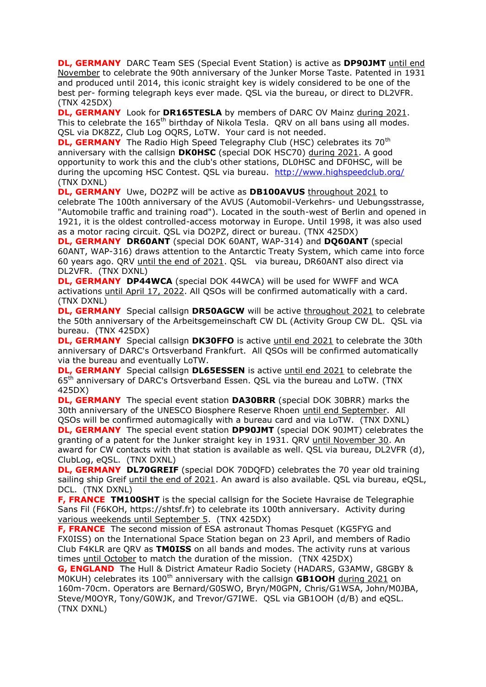**DL, GERMANY** DARC Team SES (Special Event Station) is active as **DP90JMT** until end November to celebrate the 90th anniversary of the Junker Morse Taste. Patented in 1931 and produced until 2014, this iconic straight key is widely considered to be one of the best per- forming telegraph keys ever made. QSL via the bureau, or direct to DL2VFR. (TNX 425DX)

**DL, GERMANY** Look for **DR165TESLA** by members of DARC OV Mainz during 2021. This to celebrate the 165<sup>th</sup> birthday of Nikola Tesla. ORV on all bans using all modes. QSL via DK8ZZ, Club Log OQRS, LoTW. Your card is not needed.

**DL, GERMANY** The Radio High Speed Telegraphy Club (HSC) celebrates its 70<sup>th</sup> anniversary with the callsign **DK0HSC** (special DOK HSC70) during 2021. A good opportunity to work this and the club's other stations, DL0HSC and DF0HSC, will be during the upcoming HSC Contest. QSL via bureau. <http://www.highspeedclub.org/> (TNX DXNL)

**DL, GERMANY** Uwe, DO2PZ will be active as **DB100AVUS** throughout 2021 to celebrate The 100th anniversary of the AVUS (Automobil-Verkehrs- und Uebungsstrasse, "Automobile traffic and training road"). Located in the south-west of Berlin and opened in 1921, it is the oldest controlled-access motorway in Europe. Until 1998, it was also used as a motor racing circuit. QSL via DO2PZ, direct or bureau. (TNX 425DX)

**DL, GERMANY DR60ANT** (special DOK 60ANT, WAP-314) and **DQ60ANT** (special 60ANT, WAP-316) draws attention to the Antarctic Treaty System, which came into force 60 years ago. QRV until the end of 2021. QSL via bureau, DR60ANT also direct via DL2VFR. (TNX DXNL)

**DL, GERMANY DP44WCA** (special DOK 44WCA) will be used for WWFF and WCA activations until April 17, 2022. All QSOs will be confirmed automatically with a card. (TNX DXNL)

**DL, GERMANY** Special callsign **DR50AGCW** will be active throughout 2021 to celebrate the 50th anniversary of the Arbeitsgemeinschaft CW DL (Activity Group CW DL. QSL via bureau. (TNX 425DX)

**DL, GERMANY** Special callsign **DK30FFO** is active until end 2021 to celebrate the 30th anniversary of DARC's Ortsverband Frankfurt. All QSOs will be confirmed automatically via the bureau and eventually LoTW.

**DL, GERMANY** Special callsign **DL65ESSEN** is active until end 2021 to celebrate the 65<sup>th</sup> anniversary of DARC's Ortsverband Essen. QSL via the bureau and LoTW. (TNX 425DX)

**DL, GERMANY** The special event station **DA30BRR** (special DOK 30BRR) marks the 30th anniversary of the UNESCO Biosphere Reserve Rhoen until end September. All QSOs will be confirmed automagically with a bureau card and via LoTW. (TNX DXNL)

**DL, GERMANY** The special event station **DP90JMT** (special DOK 90JMT) celebrates the granting of a patent for the Junker straight key in 1931. QRV until November 30. An award for CW contacts with that station is available as well. QSL via bureau, DL2VFR (d), ClubLog, eQSL. (TNX DXNL)

**DL, GERMANY DL70GREIF** (special DOK 70DQFD) celebrates the 70 year old training sailing ship Greif until the end of 2021. An award is also available. QSL via bureau, eQSL, DCL. (TNX DXNL)

**F, FRANCE TM100SHT** is the special callsign for the Societe Havraise de Telegraphie Sans Fil (F6KOH, https://shtsf.fr) to celebrate its 100th anniversary. Activity during various weekends until September 5. (TNX 425DX)

**F, FRANCE** The second mission of ESA astronaut Thomas Pesquet (KG5FYG and FX0ISS) on the International Space Station began on 23 April, and members of Radio Club F4KLR are QRV as **TM0ISS** on all bands and modes. The activity runs at various times until October to match the duration of the mission. (TNX 425DX)

**G, ENGLAND** The Hull & District Amateur Radio Society (HADARS, G3AMW, G8GBY & M0KUH) celebrates its 100<sup>th</sup> anniversary with the callsign **GB1OOH** during 2021 on 160m-70cm. Operators are Bernard/G0SWO, Bryn/M0GPN, Chris/G1WSA, John/M0JBA, Steve/M0OYR, Tony/G0WJK, and Trevor/G7IWE. QSL via GB1OOH (d/B) and eQSL. (TNX DXNL)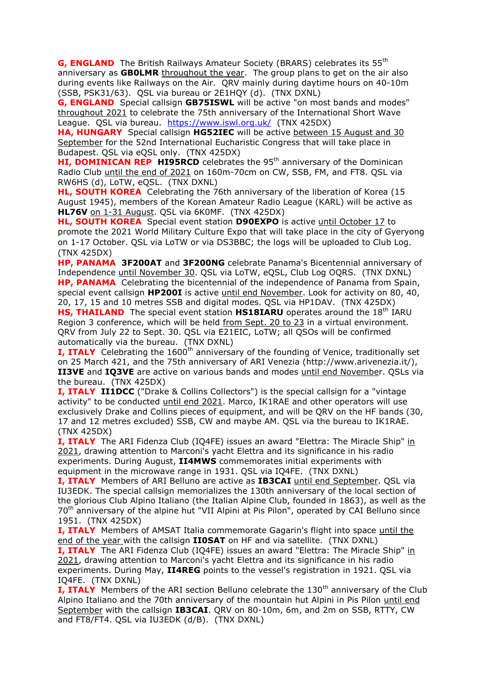**G, ENGLAND** The British Railways Amateur Society (BRARS) celebrates its 55<sup>th</sup> anniversary as **GB0LMR** throughout the year. The group plans to get on the air also during events like Railways on the Air. QRV mainly during daytime hours on 40-10m (SSB, PSK31/63). QSL via bureau or 2E1HQY (d). (TNX DXNL)

**G, ENGLAND** Special callsign **GB75ISWL** will be active "on most bands and modes" throughout 2021 to celebrate the 75th anniversary of the International Short Wave League. QSL via bureau. <https://www.iswl.org.uk/>(TNX 425DX)

**HA, HUNGARY** Special callsign **HG52IEC** will be active between 15 August and 30 September for the 52nd International Eucharistic Congress that will take place in Budapest. QSL via eQSL only. (TNX 425DX)

**HI, DOMINICAN REP HI95RCD** celebrates the 95<sup>th</sup> anniversary of the Dominican Radio Club until the end of 2021 on 160m-70cm on CW, SSB, FM, and FT8. QSL via RW6HS (d), LoTW, eQSL. (TNX DXNL)

**HL, SOUTH KOREA** Celebrating the 76th anniversary of the liberation of Korea (15 August 1945), members of the Korean Amateur Radio League (KARL) will be active as **HL76V** on 1-31 August. QSL via 6K0MF. (TNX 425DX)

**HL, SOUTH KOREA** Special event station **D90EXPO** is active until October 17 to promote the 2021 World Military Culture Expo that will take place in the city of Gyeryong on 1-17 October. QSL via LoTW or via DS3BBC; the logs will be uploaded to Club Log. (TNX 425DX)

**HP, PANAMA 3F200AT** and **3F200NG** celebrate Panama's Bicentennial anniversary of Independence until November 30. QSL via LoTW, eQSL, Club Log OQRS. (TNX DXNL) **HP, PANAMA** Celebrating the bicentennial of the independence of Panama from Spain, special event callsign **HP200I** is active until end November. Look for activity on 80, 40, 20, 17, 15 and 10 metres SSB and digital modes. QSL via HP1DAV. (TNX 425DX) **HS, THAILAND** The special event station HS18IARU operates around the 18<sup>th</sup> IARU Region 3 conference, which will be held from Sept. 20 to 23 in a virtual environment. QRV from July 22 to Sept. 30. QSL via E21EIC, LoTW; all QSOs will be confirmed

automatically via the bureau. (TNX DXNL)

**I, ITALY** Celebrating the 1600<sup>th</sup> anniversary of the founding of Venice, traditionally set on 25 March 421, and the 75th anniversary of ARI Venezia (http://www.arivenezia.it/), **II3VE** and **IQ3VE** are active on various bands and modes until end November. QSLs via the bureau. (TNX 425DX)

**I, ITALY II1DCC** ("Drake & Collins Collectors") is the special callsign for a "vintage activity" to be conducted until end 2021. Marco, IK1RAE and other operators will use exclusively Drake and Collins pieces of equipment, and will be QRV on the HF bands (30, 17 and 12 metres excluded) SSB, CW and maybe AM. QSL via the bureau to IK1RAE. (TNX 425DX)

**I, ITALY** The ARI Fidenza Club (IQ4FE) issues an award "Elettra: The Miracle Ship" in 2021, drawing attention to Marconi's yacht Elettra and its significance in his radio experiments. During August, **II4MWS** commemorates initial experiments with equipment in the microwave range in 1931. QSL via IQ4FE. (TNX DXNL)

**I, ITALY** Members of ARI Belluno are active as **IB3CAI** until end September. QSL via IU3EDK. The special callsign memorializes the 130th anniversary of the local section of the glorious Club Alpino Italiano (the Italian Alpine Club, founded in 1863), as well as the 70<sup>th</sup> anniversary of the alpine hut "VII Alpini at Pis Pilon", operated by CAI Belluno since 1951. (TNX 425DX)

**I, ITALY** Members of AMSAT Italia commemorate Gagarin's flight into space until the end of the year with the callsign **II0SAT** on HF and via satellite. (TNX DXNL) **I, ITALY** The ARI Fidenza Club (IQ4FE) issues an award "Elettra: The Miracle Ship" in 2021, drawing attention to Marconi's yacht Elettra and its significance in his radio experiments. During May, **II4REG** points to the vessel's registration in 1921. QSL via IQ4FE. (TNX DXNL)

**I, ITALY** Members of the ARI section Belluno celebrate the 130<sup>th</sup> anniversary of the Club Alpino Italiano and the 70th anniversary of the mountain hut Alpini in Pis Pilon until end September with the callsign **IB3CAI**. QRV on 80-10m, 6m, and 2m on SSB, RTTY, CW and FT8/FT4. QSL via IU3EDK (d/B). (TNX DXNL)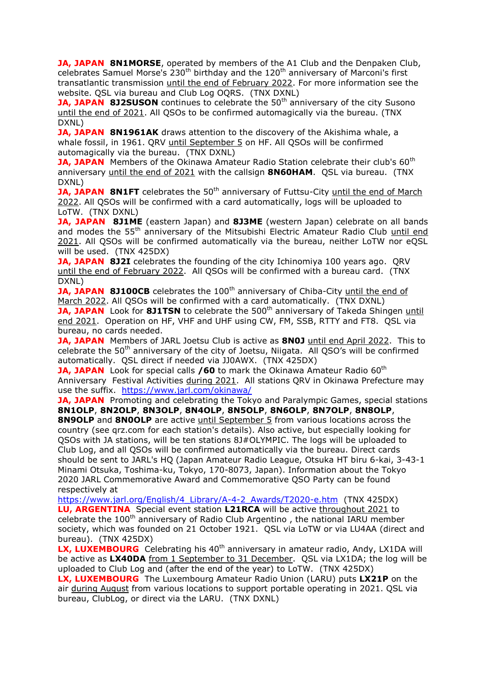**JA, JAPAN 8N1MORSE**, operated by members of the A1 Club and the Denpaken Club, celebrates Samuel Morse's  $230<sup>th</sup>$  birthday and the  $120<sup>th</sup>$  anniversary of Marconi's first transatlantic transmission until the end of February 2022. For more information see the website. QSL via bureau and Club Log OQRS. (TNX DXNL)

**JA, JAPAN 8J2SUSON** continues to celebrate the 50<sup>th</sup> anniversary of the city Susono until the end of 2021. All QSOs to be confirmed automagically via the bureau. (TNX DXNL)

**JA, JAPAN 8N1961AK** draws attention to the discovery of the Akishima whale, a whale fossil, in 1961. QRV until September 5 on HF. All QSOs will be confirmed automagically via the bureau. (TNX DXNL)

**JA, JAPAN** Members of the Okinawa Amateur Radio Station celebrate their club's 60<sup>th</sup> anniversary until the end of 2021 with the callsign **8N60HAM**. QSL via bureau. (TNX DXNL)

**JA, JAPAN 8N1FT** celebrates the 50<sup>th</sup> anniversary of Futtsu-City until the end of March 2022. All QSOs will be confirmed with a card automatically, logs will be uploaded to LoTW. (TNX DXNL)

**JA, JAPAN 8J1ME** (eastern Japan) and **8J3ME** (western Japan) celebrate on all bands and modes the 55<sup>th</sup> anniversary of the Mitsubishi Electric Amateur Radio Club until end 2021. All QSOs will be confirmed automatically via the bureau, neither LoTW nor eQSL will be used. (TNX 425DX)

**JA, JAPAN 8J2I** celebrates the founding of the city Ichinomiya 100 years ago. ORV until the end of February 2022. All QSOs will be confirmed with a bureau card. (TNX DXNL)

**JA, JAPAN 8J100CB** celebrates the 100<sup>th</sup> anniversary of Chiba-City until the end of March 2022. All QSOs will be confirmed with a card automatically. (TNX DXNL) **JA, JAPAN** Look for 8J1TSN to celebrate the 500<sup>th</sup> anniversary of Takeda Shingen until

end 2021. Operation on HF, VHF and UHF using CW, FM, SSB, RTTY and FT8. QSL via bureau, no cards needed.

**JA, JAPAN** Members of JARL Joetsu Club is active as **8N0J** until end April 2022. This to celebrate the  $50<sup>th</sup>$  anniversary of the city of Joetsu, Niigata. All OSO's will be confirmed automatically. QSL direct if needed via JJ0AWX. (TNX 425DX)

**JA, JAPAN** Look for special calls /60 to mark the Okinawa Amateur Radio 60<sup>th</sup> Anniversary Festival Activities during 2021. All stations QRV in Okinawa Prefecture may use the suffix. <https://www.jarl.com/okinawa/>

**JA, JAPAN** Promoting and celebrating the Tokyo and Paralympic Games, special stations **8N1OLP**, **8N2OLP**, **8N3OLP**, **8N4OLP**, **8N5OLP**, **8N6OLP**, **8N7OLP**, **8N8OLP**,

**8N9OLP** and **8N0OLP** are active *until September 5* from various locations across the country (see qrz.com for each station's details). Also active, but especially looking for QSOs with JA stations, will be ten stations 8J#OLYMPIC. The logs will be uploaded to Club Log, and all QSOs will be confirmed automatically via the bureau. Direct cards should be sent to JARL's HQ (Japan Amateur Radio League, Otsuka HT biru 6-kai, 3-43-1 Minami Otsuka, Toshima-ku, Tokyo, 170-8073, Japan). Information about the Tokyo 2020 JARL Commemorative Award and Commemorative QSO Party can be found respectively at

[https://www.jarl.org/English/4\\_Library/A-4-2\\_Awards/T2020-e.htm](https://www.jarl.org/English/4_Library/A-4-2_Awards/T2020-e.htm) (TNX 425DX)

**LU, ARGENTINA** Special event station **L21RCA** will be active throughout 2021 to celebrate the 100<sup>th</sup> anniversary of Radio Club Argentino, the national IARU member society, which was founded on 21 October 1921. QSL via LoTW or via LU4AA (direct and bureau). (TNX 425DX)

LX, LUXEMBOURG Celebrating his 40<sup>th</sup> anniversary in amateur radio, Andy, LX1DA will be active as **LX40DA** from 1 September to 31 December. QSL via LX1DA; the log will be uploaded to Club Log and (after the end of the year) to LoTW. (TNX 425DX)

**LX, LUXEMBOURG** The Luxembourg Amateur Radio Union (LARU) puts **LX21P** on the air during August from various locations to support portable operating in 2021. QSL via bureau, ClubLog, or direct via the LARU. (TNX DXNL)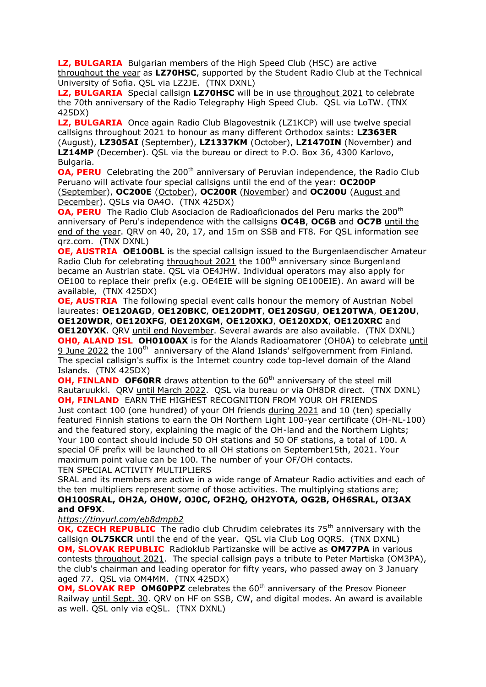**LZ, BULGARIA** Bulgarian members of the High Speed Club (HSC) are active throughout the year as **LZ70HSC**, supported by the Student Radio Club at the Technical University of Sofia. QSL via LZ2JE. (TNX DXNL)

**LZ, BULGARIA** Special callsign LZ70HSC will be in use throughout 2021 to celebrate the 70th anniversary of the Radio Telegraphy High Speed Club. QSL via LoTW. (TNX 425DX)

**LZ, BULGARIA** Once again Radio Club Blagovestnik (LZ1KCP) will use twelve special callsigns throughout 2021 to honour as many different Orthodox saints: **LZ363ER** (August), **LZ305AI** (September), **LZ1337KM** (October), **LZ1470IN** (November) and **LZ14MP** (December). QSL via the bureau or direct to P.O. Box 36, 4300 Karlovo, Bulgaria.

**OA, PERU** Celebrating the 200<sup>th</sup> anniversary of Peruvian independence, the Radio Club Peruano will activate four special callsigns until the end of the year: **OC200P**  (September), **OC200E** (October), **OC200R** (November) and **OC200U** (August and December). QSLs via OA4O. (TNX 425DX)

**OA, PERU** The Radio Club Asociacion de Radioaficionados del Peru marks the 200<sup>th</sup> anniversary of Peru's independence with the callsigns **OC4B**, **OC6B** and **OC7B** until the end of the year. QRV on 40, 20, 17, and 15m on SSB and FT8. For QSL information see qrz.com. (TNX DXNL)

**OE, AUSTRIA OE100BL** is the special callsign issued to the Burgenlaendischer Amateur Radio Club for celebrating throughout 2021 the 100<sup>th</sup> anniversary since Burgenland became an Austrian state. QSL via OE4JHW. Individual operators may also apply for OE100 to replace their prefix (e.g. OE4EIE will be signing OE100EIE). An award will be available, (TNX 425DX)

**OE, AUSTRIA** The following special event calls honour the memory of Austrian Nobel laureates: **OE120AGD**, **OE120BKC**, **OE120DMT**, **OE120SGU**, **OE120TWA**, **OE120U**, **OE120WDR**, **OE120XFG**, **OE120XGM**, **OE120XKJ**, **OE120XDX**, **OE120XRC** and **OE120YXK**. QRV until end November. Several awards are also available. (TNX DXNL) **OH0, ALAND ISL OH0100AX** is for the Alands Radioamatorer (OH0A) to celebrate until 9 June 2022 the 100<sup>th</sup> anniversary of the Aland Islands' selfgovernment from Finland. The special callsign's suffix is the Internet country code top-level domain of the Aland Islands. (TNX 425DX)

**OH, FINLAND OF60RR** draws attention to the 60<sup>th</sup> anniversary of the steel mill Rautaruukki. QRV until March 2022. QSL via bureau or via OH8DR direct. (TNX DXNL) **OH, FINLAND** EARN THE HIGHEST RECOGNITION FROM YOUR OH FRIENDS Just contact 100 (one hundred) of your OH friends during 2021 and 10 (ten) specially featured Finnish stations to earn the OH Northern Light 100-year certificate (OH-NL-100) and the featured story, explaining the magic of the OH-land and the Northern Lights; Your 100 contact should include 50 OH stations and 50 OF stations, a total of 100. A special OF prefix will be launched to all OH stations on September15th, 2021. Your maximum point value can be 100. The number of your OF/OH contacts. TEN SPECIAL ACTIVITY MULTIPLIERS

SRAL and its members are active in a wide range of Amateur Radio activities and each of the ten multipliers represent some of those activities. The multiplying stations are; **OH100SRAL, OH2A, OH0W, OJ0C, OF2HQ, OH2YOTA, OG2B, OH6SRAL, OI3AX and OF9X**.

*<https://tinyurl.com/eb8dmpb2>*

**OK, CZECH REPUBLIC** The radio club Chrudim celebrates its 75<sup>th</sup> anniversary with the callsign **OL75KCR** until the end of the year. QSL via Club Log OQRS. (TNX DXNL) **OM, SLOVAK REPUBLIC** Radioklub Partizanske will be active as **OM77PA** in various contests throughout 2021. The special callsign pays a tribute to Peter Martiska (OM3PA), the club's chairman and leading operator for fifty years, who passed away on 3 January aged 77. QSL via OM4MM. (TNX 425DX)

**OM, SLOVAK REP OM60PPZ** celebrates the 60<sup>th</sup> anniversary of the Presov Pioneer Railway until Sept. 30. QRV on HF on SSB, CW, and digital modes. An award is available as well. QSL only via eQSL. (TNX DXNL)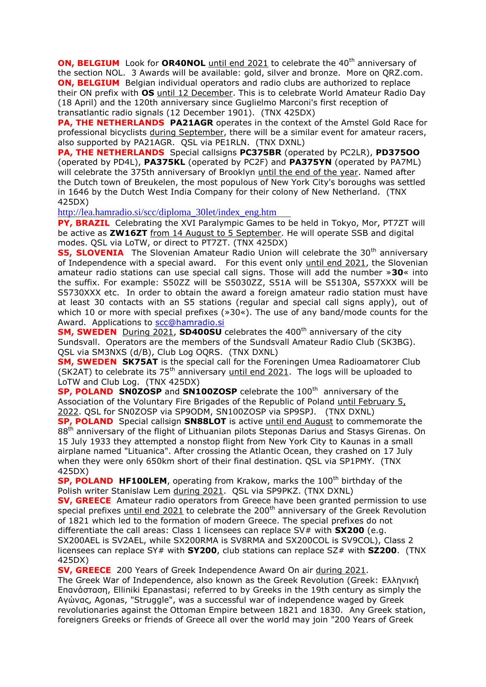**ON, BELGIUM** Look for **OR40NOL** until end 2021 to celebrate the 40<sup>th</sup> anniversary of the section NOL. 3 Awards will be available: gold, silver and bronze. More on QRZ.com. **ON, BELGIUM** Belgian individual operators and radio clubs are authorized to replace their ON prefix with **OS** until 12 December. This is to celebrate World Amateur Radio Day (18 April) and the 120th anniversary since Guglielmo Marconi's first reception of transatlantic radio signals (12 December 1901). (TNX 425DX)

**PA, THE NETHERLANDS PA21AGR** operates in the context of the Amstel Gold Race for professional bicyclists during September, there will be a similar event for amateur racers, also supported by PA21AGR. QSL via PE1RLN. (TNX DXNL)

**PA, THE NETHERLANDS** Special callsigns **PC375BR** (operated by PC2LR), **PD375OO** (operated by PD4L), **PA375KL** (operated by PC2F) and **PA375YN** (operated by PA7ML) will celebrate the 375th anniversary of Brooklyn until the end of the year. Named after the Dutch town of Breukelen, the most populous of New York City's boroughs was settled in 1646 by the Dutch West India Company for their colony of New Netherland. (TNX 425DX)

[http://lea.hamradio.si/scc/diploma\\_30let/index\\_eng.htm](http://lea.hamradio.si/scc/diploma_30let/index_eng.htm)

**PY, BRAZIL** Celebrating the XVI Paralympic Games to be held in Tokyo, Mor, PT7ZT will be active as **ZW16ZT** from 14 August to 5 September. He will operate SSB and digital modes. QSL via LoTW, or direct to PT7ZT. (TNX 425DX)

**S5, SLOVENIA** The Slovenian Amateur Radio Union will celebrate the 30<sup>th</sup> anniversary of Independence with a special award. For this event only until end 2021, the Slovenian amateur radio stations can use special call signs. Those will add the number »**30**« into the suffix. For example: S50ZZ will be S5030ZZ, S51A will be S5130A, S57XXX will be S5730XXX etc. In order to obtain the award a foreign amateur radio station must have at least 30 contacts with an S5 stations (regular and special call signs apply), out of which 10 or more with special prefixes ( $\gg$ 30 $\ll$ ). The use of any band/mode counts for the Award. Applications to [scc@hamradio.si](mailto:scc@hamradio.si)

**SM, SWEDEN** During 2021, **SD400SU** celebrates the 400<sup>th</sup> anniversary of the city Sundsvall. Operators are the members of the Sundsvall Amateur Radio Club (SK3BG). QSL via SM3NXS (d/B), Club Log OQRS. (TNX DXNL)

**SM, SWEDEN SK75AT** is the special call for the Foreningen Umea Radioamatorer Club (SK2AT) to celebrate its  $75<sup>th</sup>$  anniversary until end 2021. The logs will be uploaded to LoTW and Club Log. (TNX 425DX)

**SP, POLAND SN0ZOSP** and **SN100ZOSP** celebrate the 100<sup>th</sup> anniversary of the Association of the Voluntary Fire Brigades of the Republic of Poland until February 5, 2022. QSL for SN0ZOSP via SP9ODM, SN100ZOSP via SP9SPJ. (TNX DXNL)

**SP, POLAND** Special callsign **SN88LOT** is active until end August to commemorate the 88<sup>th</sup> anniversary of the flight of Lithuanian pilots Steponas Darius and Stasys Girenas. On 15 July 1933 they attempted a nonstop flight from New York City to Kaunas in a small airplane named "Lituanica". After crossing the Atlantic Ocean, they crashed on 17 July when they were only 650km short of their final destination. QSL via SP1PMY. (TNX 425DX)

**SP, POLAND HF100LEM**, operating from Krakow, marks the 100<sup>th</sup> birthday of the Polish writer Stanislaw Lem during 2021. QSL via SP9PKZ. (TNX DXNL)

**SV, GREECE** Amateur radio operators from Greece have been granted permission to use special prefixes until end 2021 to celebrate the  $200<sup>th</sup>$  anniversary of the Greek Revolution of 1821 which led to the formation of modern Greece. The special prefixes do not differentiate the call areas: Class 1 licensees can replace SV# with **SX200** (e.g. SX200AEL is SV2AEL, while SX200RMA is SV8RMA and SX200COL is SV9COL), Class 2 licensees can replace SY# with **SY200**, club stations can replace SZ# with **SZ200**. (TNX 425DX)

**SV, GREECE** 200 Years of Greek Independence Award On air during 2021.

The Greek War of Independence, also known as the Greek Revolution (Greek: Ελληνική Επανάσταση, Elliniki Epanastasi; referred to by Greeks in the 19th century as simply the Αγώνας, Agonas, "Struggle", was a successful war of independence waged by Greek revolutionaries against the Ottoman Empire between 1821 and 1830. Any Greek station, foreigners Greeks or friends of Greece all over the world may join "200 Years of Greek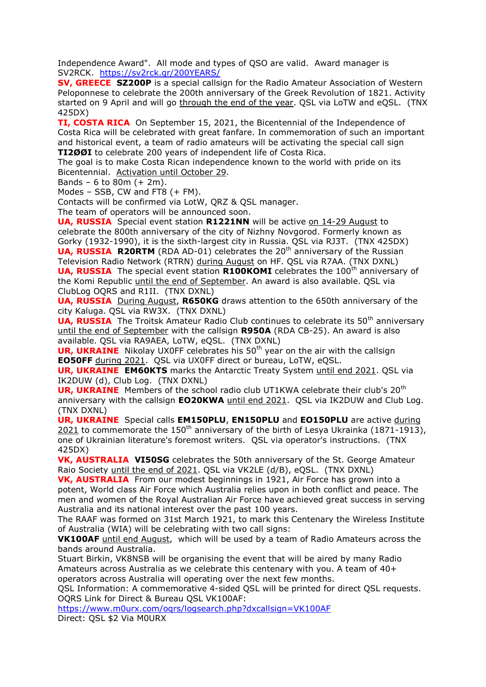Independence Award". All mode and types of QSO are valid. Award manager is SV2RCK. <https://sv2rck.gr/200YEARS/>

**SV, GREECE SZ200P** is a special callsign for the Radio Amateur Association of Western Peloponnese to celebrate the 200th anniversary of the Greek Revolution of 1821. Activity started on 9 April and will go through the end of the year. QSL via LoTW and eQSL. (TNX 425DX)

**TI, COSTA RICA** On September 15, 2021, the Bicentennial of the Independence of Costa Rica will be celebrated with great fanfare. In commemoration of such an important and historical event, a team of radio amateurs will be activating the special call sign **TI2ØØI** to celebrate 200 years of independent life of Costa Rica.

The goal is to make Costa Rican independence known to the world with pride on its Bicentennial. Activation until October 29.

Bands – 6 to 80m (+ 2m).

Modes – SSB, CW and FT8  $(+$  FM).

Contacts will be confirmed via LotW, QRZ & QSL manager.

The team of operators will be announced soon.

**UA, RUSSIA** Special event station **R1221NN** will be active on 14-29 August to celebrate the 800th anniversary of the city of Nizhny Novgorod. Formerly known as Gorky (1932-1990), it is the sixth-largest city in Russia. QSL via RJ3T. (TNX 425DX) **UA, RUSSIA R20RTM** (RDA AD-01) celebrates the 20<sup>th</sup> anniversary of the Russian Television Radio Network (RTRN) during August on HF. QSL via R7AA. (TNX DXNL) **UA, RUSSIA** The special event station **R100KOMI** celebrates the 100<sup>th</sup> anniversary of the Komi Republic until the end of September. An award is also available. QSL via ClubLog OQRS and R1II. (TNX DXNL)

**UA, RUSSIA** During August, **R650KG** draws attention to the 650th anniversary of the city Kaluga. QSL via RW3X. (TNX DXNL)

**UA, RUSSIA** The Troitsk Amateur Radio Club continues to celebrate its 50<sup>th</sup> anniversary until the end of September with the callsign **R950A** (RDA CB-25). An award is also available. QSL via RA9AEA, LoTW, eQSL. (TNX DXNL)

**UR, UKRAINE** Nikolay UX0FF celebrates his 50<sup>th</sup> year on the air with the callsign **EO50FF** during 2021. QSL via UX0FF direct or bureau, LoTW, eQSL.

**UR, UKRAINE EM60KTS** marks the Antarctic Treaty System until end 2021. QSL via IK2DUW (d), Club Log. (TNX DXNL)

**UR, UKRAINE** Members of the school radio club UT1KWA celebrate their club's 20<sup>th</sup> anniversary with the callsign **EO20KWA** until end 2021. QSL via IK2DUW and Club Log. (TNX DXNL)

**UR, UKRAINE** Special calls **EM150PLU**, **EN150PLU** and **EO150PLU** are active during  $2021$  to commemorate the 150<sup>th</sup> anniversary of the birth of Lesya Ukrainka (1871-1913), one of Ukrainian literature's foremost writers. QSL via operator's instructions. (TNX 425DX)

**VK, AUSTRALIA VI50SG** celebrates the 50th anniversary of the St. George Amateur Raio Society until the end of 2021. QSL via VK2LE (d/B), eQSL. (TNX DXNL)

**VK, AUSTRALIA** From our modest beginnings in 1921, Air Force has grown into a potent, World class Air Force which Australia relies upon in both conflict and peace. The men and women of the Royal Australian Air Force have achieved great success in serving Australia and its national interest over the past 100 years.

The RAAF was formed on 31st March 1921, to mark this Centenary the Wireless Institute of Australia (WIA) will be celebrating with two call signs:

**VK100AF** until end August, which will be used by a team of Radio Amateurs across the bands around Australia.

Stuart Birkin, VK8NSB will be organising the event that will be aired by many Radio Amateurs across Australia as we celebrate this centenary with you. A team of 40+ operators across Australia will operating over the next few months.

QSL Information: A commemorative 4-sided QSL will be printed for direct QSL requests. OQRS Link for Direct & Bureau QSL VK100AF:

<https://www.m0urx.com/oqrs/logsearch.php?dxcallsign=VK100AF> Direct: QSL \$2 Via M0URX